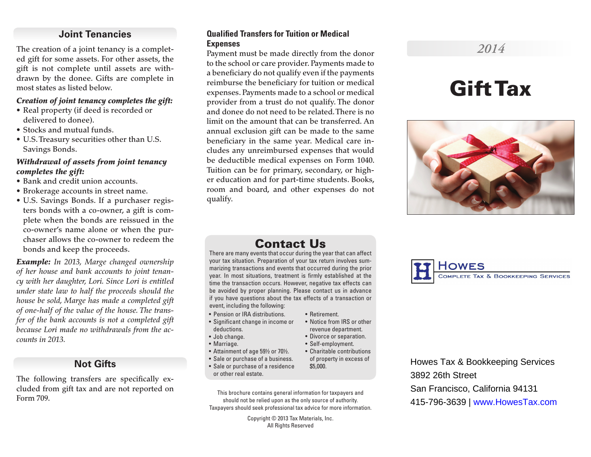# **Joint Tenancies**

The creation of a joint tenancy is a completed gift for some assets. For other assets, the gift is not complete until assets are withdrawn by the donee. Gifts are complete in most states as listed below.

### *Creation of joint tenancy completes the gift:*

- Real property (if deed is recorded or delivered to donee).
- Stocks and mutual funds.
- U.S. Treasury securities other than U.S. Savings Bonds.

### *Withdrawal of assets from joint tenancy completes the gift:*

- Bank and credit union accounts.
- Brokerage accounts in street name.
- U.S. Savings Bonds. If a purchaser registers bonds with a co-owner, a gift is complete when the bonds are reissued in the co-owner's name alone or when the purchaser allows the co-owner to redeem the bonds and keep the proceeds.

*Example: In 2013, Marge changed ownership of her house and bank accounts to joint tenancy with her daughter, Lori. Since Lori is entitled under state law to half the proceeds should the house be sold, Marge has made a completed gift of one-half of the value of the house. The transfer of the bank accounts is not a completed gift because Lori made no withdrawals from the accounts in 2013.*

# **Not Gifts**

The following transfers are specifically excluded from gift tax and are not reported on Form 709.

### **Qualified Transfers for Tuition or Medical Expenses**

Payment must be made directly from the donor to the school or care provider. Payments made to a beneficiary do not qualify even if the payments reimburse the beneficiary for tuition or medical expenses. Payments made to a school or medical provider from a trust do not qualify. The donor and donee do not need to be related. There is no limit on the amount that can be transferred. An annual exclusion gift can be made to the same beneficiary in the same year. Medical care includes any unreimbursed expenses that would be deductible medical expenses on Form 1040. Tuition can be for primary, secondary, or higher education and for part-time students. Books, room and board, and other expenses do not qualify.

# *2014*

# Gift Tax



# Contact Us

There are many events that occur during the year that can affect your tax situation. Preparation of your tax return involves summarizing transactions and events that occurred during the prior year. In most situations, treatment is firmly established at the time the transaction occurs. However, negative tax effects can be avoided by proper planning. Please contact us in advance if you have questions about the tax effects of a transaction or event, including the following:

- Pension or IRA distributions.
- Significant change in income or deductions.
- Job change.
- Marriage.
- Attainment of age 59½ or 70½.
- Sale or purchase of a business.
- Sale or purchase of a residence or other real estate.
- This brochure contains general information for taxpayers and should not be relied upon as the only source of authority. Taxpayers should seek professional tax advice for more information.

Copyright © 2013 Tax Materials, Inc. All Rights Reserved



Howes Tax & Bookkeeping Services 3892 26th Street San Francisco, California 94131 415-796-3639 | www.HowesTax.com

• Retirement.

\$5,000.

• Notice from IRS or other revenue department. • Divorce or separation. • Self-employment. • Charitable contributions of property in excess of